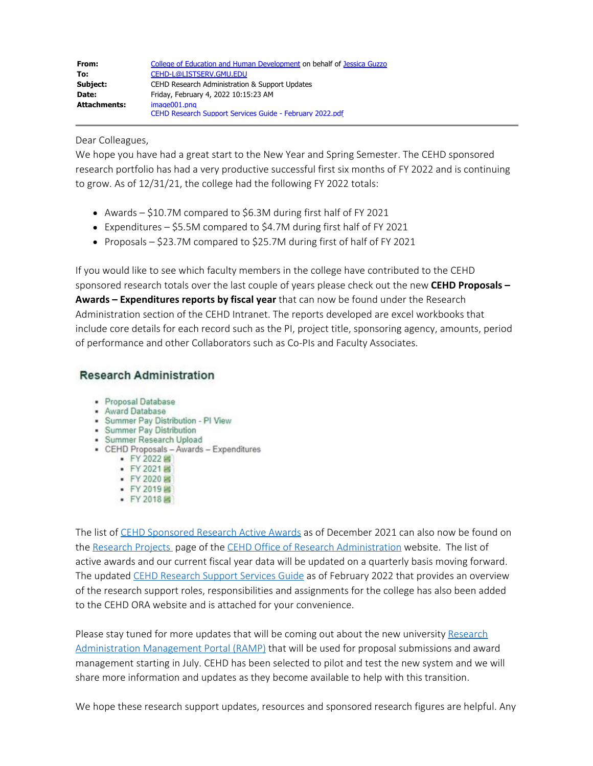| From:        | College of Education and Human Development on behalf of Jessica Guzzo |
|--------------|-----------------------------------------------------------------------|
| To:          | CEHD-L@LISTSERV.GMU.EDU                                               |
| Subject:     | CEHD Research Administration & Support Updates                        |
| Date:        | Friday, February 4, 2022 10:15:23 AM                                  |
| Attachments: | $imae001.$ pna                                                        |
|              | CEHD Research Support Services Guide - February 2022.pdf              |

## Dear Colleagues,

We hope you have had a great start to the New Year and Spring Semester. The CEHD sponsored research portfolio has had a very productive successful first six months of FY 2022 and is continuing to grow. As of 12/31/21, the college had the following FY 2022 totals:

- Awards \$10.7M compared to \$6.3M during first half of FY 2021
- Expenditures  $$5.5M$  compared to  $$4.7M$  during first half of FY 2021
- Proposals  $-$  \$23.7M compared to \$25.7M during first of half of FY 2021

If you would like to see which faculty members in the college have contributed to the CEHD sponsored research totals over the last couple of years please check out the new **CEHD Proposals – Awards – Expenditures reports by fiscal year** that can now be found under the Research Administration section of the CEHD Intranet. The reports developed are excel workbooks that include core details for each record such as the PI, project title, sponsoring agency, amounts, period of performance and other Collaborators such as Co-PIs and Faculty Associates.

## **Research Administration**

- · Proposal Database
- Award Database
- · Summer Pay Distribution PI View
- · Summer Pay Distribution
- · Summer Research Upload
- CEHD Proposals Awards Expenditures
	- FY 2022 图
	- FY 2021 图
	- FY 2020 B • FY 2019 国
	- FY 2018国
	-

The list of [CEHD Sponsored Research Active Awards](https://cehd.gmu.edu/assets/docs/ora/CEHD%20Sponsored%20Research%20Active%20Awards%20-%20December%202021.pdf) as of December 2021 can also now be found on the [Research Projects](https://cehd.gmu.edu/faculty-and-research/research-administration/research-projects) page of the [CEHD Office of Research Administration](https://cehd.gmu.edu/faculty-and-research/research-administration/) website. The list of active awards and our current fiscal year data will be updated on a quarterly basis moving forward. The updated [CEHD Research Support Services Guide](https://cehd.gmu.edu/assets/docs/ora/CEHD%20Research%20Support%20Services%20Guide.pdf) as of February 2022 that provides an overview of the research support roles, responsibilities and assignments for the college has also been added to the CEHD ORA website and is attached for your convenience.

Please stay tuned for more updates that will be coming out about the new university [Research](https://ramp.gmu.edu/) [Administration Management Portal \(RAMP\)](https://ramp.gmu.edu/) that will be used for proposal submissions and award management starting in July. CEHD has been selected to pilot and test the new system and we will share more information and updates as they become available to help with this transition.

We hope these research support updates, resources and sponsored research figures are helpful. Any